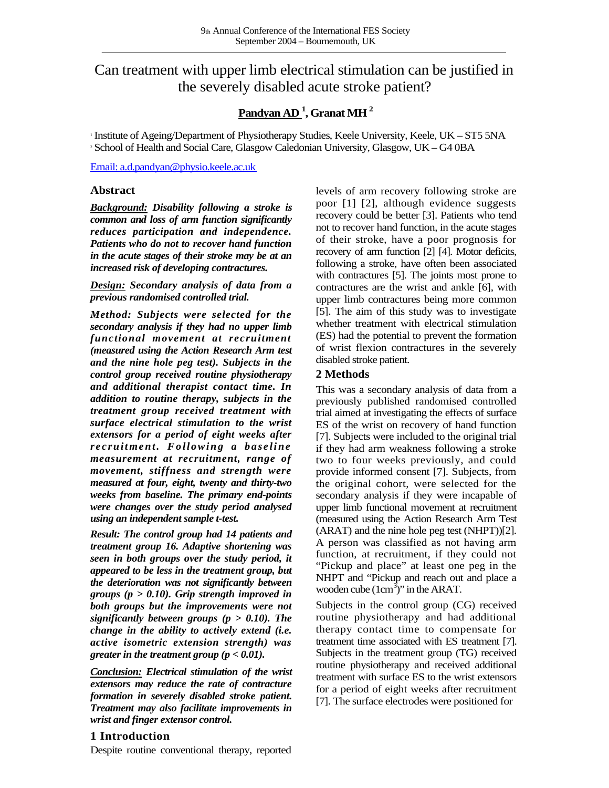# Can treatment with upper limb electrical stimulation can be justified in the severely disabled acute stroke patient?

## **Pandyan AD <sup>1</sup> , Granat MH <sup>2</sup>**

1 Institute of Ageing/Department of Physiotherapy Studies, Keele University, Keele, UK – ST5 5NA <sup>2</sup> School of Health and Social Care, Glasgow Caledonian University, Glasgow, UK – G4 0BA

[Email: a.d.pandyan@physio.keele.ac.uk](mailto:a.d.pandyan@physio.keele.ac.uk)

#### **Abstract**

*Background: Disability following a stroke is common and loss of arm function significantly reduces participation and independence. Patients who do not to recover hand function in the acute stages of their stroke may be at an increased risk of developing contractures.*

*Design: Secondary analysis of data from a previous randomised controlled trial.*

*Method: Subjects were selected for the secondary analysis if they had no upper limb functional movement at recruitment (measured using the Action Research Arm test and the nine hole peg test). Subjects in the control group received routine physiotherapy and additional therapist contact time. In addition to routine therapy, subjects in the treatment group received treatment with surface electrical stimulation to the wrist extensors for a period of eight weeks after recruit me nt. F ollowi ng a baseli ne measurement at recruitment, range of movement, stiffness and strength were measured at four, eight, twenty and thirty-two weeks from baseline. The primary end-points were changes over the study period analysed using an independent sample t-test.*

*Result: The control group had 14 patients and treatment group 16. Adaptive shortening was seen in both groups over the study period, it appeared to be less in the treatment group, but the deterioration was not significantly between groups (p > 0.10). Grip strength improved in both groups but the improvements were not significantly between groups (p > 0.10). The change in the ability to actively extend (i.e. active isometric extension strength) was greater in the treatment group (p < 0.01).*

*Conclusion: Electrical stimulation of the wrist extensors may reduce the rate of contracture formation in severely disabled stroke patient. Treatment may also facilitate improvements in wrist and finger extensor control.*

### **1 Introduction**

Despite routine conventional therapy, reported

levels of arm recovery following stroke are poor [1] [2], although evidence suggests recovery could be better [3]. Patients who tend not to recover hand function, in the acute stages of their stroke, have a poor prognosis for recovery of arm function [2] [4]. Motor deficits, following a stroke, have often been associated with contractures [5]. The joints most prone to contractures are the wrist and ankle [6], with upper limb contractures being more common [5]. The aim of this study was to investigate whether treatment with electrical stimulation (ES) had the potential to prevent the formation of wrist flexion contractures in the severely disabled stroke patient.

### **2 Methods**

This was a secondary analysis of data from a previously published randomised controlled trial aimed at investigating the effects of surface ES of the wrist on recovery of hand function [7]. Subjects were included to the original trial if they had arm weakness following a stroke two to four weeks previously, and could provide informed consent [7]. Subjects, from the original cohort, were selected for the secondary analysis if they were incapable of upper limb functional movement at recruitment (measured using the Action Research Arm Test (ARAT) and the nine hole peg test (NHPT))[2]. A person was classified as not having arm function, at recruitment, if they could not "Pickup and place" at least one peg in the NHPT and "Pickup and reach out and place a wooden cube  $(1cm<sup>3</sup>)$ " in the ARAT.

Subjects in the control group (CG) received routine physiotherapy and had additional therapy contact time to compensate for treatment time associated with ES treatment [7]. Subjects in the treatment group (TG) received routine physiotherapy and received additional treatment with surface ES to the wrist extensors for a period of eight weeks after recruitment [7]. The surface electrodes were positioned for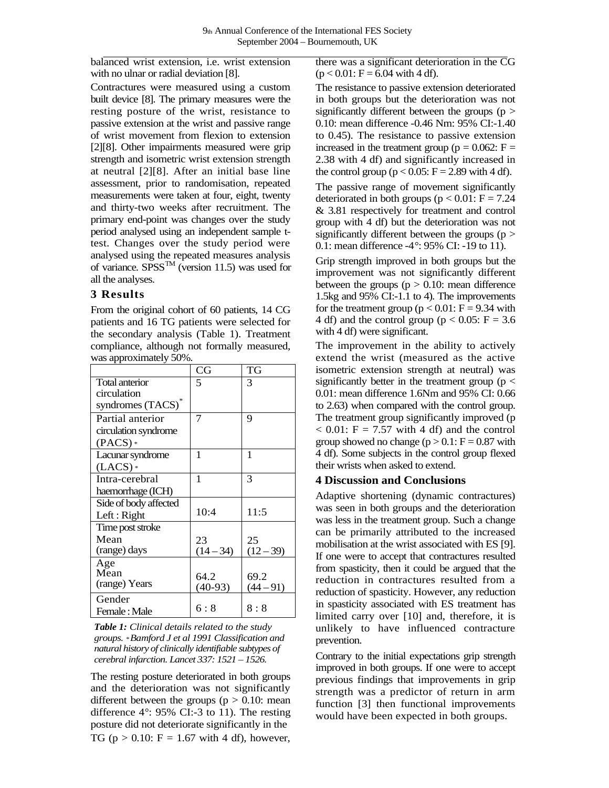balanced wrist extension, i.e. wrist extension with no ulnar or radial deviation [8].

Contractures were measured using a custom built device [8]. The primary measures were the resting posture of the wrist, resistance to passive extension at the wrist and passive range of wrist movement from flexion to extension [2][8]. Other impairments measured were grip strength and isometric wrist extension strength at neutral [2][8]. After an initial base line assessment, prior to randomisation, repeated measurements were taken at four, eight, twenty and thirty-two weeks after recruitment. The primary end-point was changes over the study period analysed using an independent sample ttest. Changes over the study period were analysed using the repeated measures analysis of variance. SPSS<sup>TM</sup> (version 11.5) was used for all the analyses.

### **3 Results**

From the original cohort of 60 patients, 14 CG patients and 16 TG patients were selected for the secondary analysis (Table 1). Treatment compliance, although not formally measured, was approximately 50%.

|                       | CG          | TG          |
|-----------------------|-------------|-------------|
| Total anterior        | 5           | 3           |
| circulation           |             |             |
| syndromes (TACS)*     |             |             |
| Partial anterior      |             | 9           |
| circulation syndrome  |             |             |
| $(PACS)*$             |             |             |
| Lacunar syndrome      | 1           | 1           |
| $(LACS)*$             |             |             |
| Intra-cerebral        | 1           | 3           |
| haemorrhage (ICH)     |             |             |
| Side of body affected |             |             |
| Left: Right           | 10:4        | 11:5        |
| Time post stroke      |             |             |
| Mean                  | 23          | 25          |
| (range) days          | $(14 - 34)$ | $(12 - 39)$ |
| Age                   |             |             |
| Mean                  | 64.2        | 69.2        |
| (range) Years         | $(40-93)$   | $(44 - 91)$ |
| Gender                |             |             |
| Female: Male          | 6 : 8       | 8:8         |

*Table 1: Clinical details related to the study groups. \*Bamford J et al 1991 Classification and natural history of clinically identifiable subtypes of cerebral infarction. Lancet 337: 1521 – 1526.*

The resting posture deteriorated in both groups and the deterioration was not significantly different between the groups ( $p > 0.10$ : mean difference 4°: 95% CI:-3 to 11). The resting posture did not deteriorate significantly in the TG ( $p > 0.10$ : F = 1.67 with 4 df), however,

there was a significant deterioration in the CG  $(p < 0.01$ : F = 6.04 with 4 df).

The resistance to passive extension deteriorated in both groups but the deterioration was not significantly different between the groups ( $p >$ 0.10: mean difference -0.46 Nm: 95% CI:-1.40 to 0.45). The resistance to passive extension increased in the treatment group ( $p = 0.062$ :  $F =$ 2.38 with 4 df) and significantly increased in the control group ( $p < 0.05$ :  $F = 2.89$  with 4 df).

The passive range of movement significantly deteriorated in both groups ( $p < 0.01$ :  $F = 7.24$ & 3.81 respectively for treatment and control group with 4 df) but the deterioration was not significantly different between the groups  $(p >$ 0.1: mean difference -4°: 95% CI: -19 to 11).

Grip strength improved in both groups but the improvement was not significantly different between the groups  $(p > 0.10$ : mean difference 1.5kg and 95% CI:-1.1 to 4). The improvements for the treatment group ( $p < 0.01$ :  $F = 9.34$  with 4 df) and the control group ( $p < 0.05$ : F = 3.6 with 4 df) were significant.

The improvement in the ability to actively extend the wrist (measured as the active isometric extension strength at neutral) was significantly better in the treatment group ( $p <$ 0.01: mean difference 1.6Nm and 95% CI: 0.66 to 2.63) when compared with the control group. The treatment group significantly improved (p  $< 0.01$ : F = 7.57 with 4 df) and the control group showed no change  $(p > 0.1$ :  $F = 0.87$  with 4 df). Some subjects in the control group flexed their wrists when asked to extend.

#### **4 Discussion and Conclusions**

Adaptive shortening (dynamic contractures) was seen in both groups and the deterioration was less in the treatment group. Such a change can be primarily attributed to the increased mobilisation at the wrist associated with ES [9]. If one were to accept that contractures resulted from spasticity, then it could be argued that the reduction in contractures resulted from a reduction of spasticity. However, any reduction in spasticity associated with ES treatment has limited carry over [10] and, therefore, it is unlikely to have influenced contracture prevention.

Contrary to the initial expectations grip strength improved in both groups. If one were to accept previous findings that improvements in grip strength was a predictor of return in arm function [3] then functional improvements would have been expected in both groups.